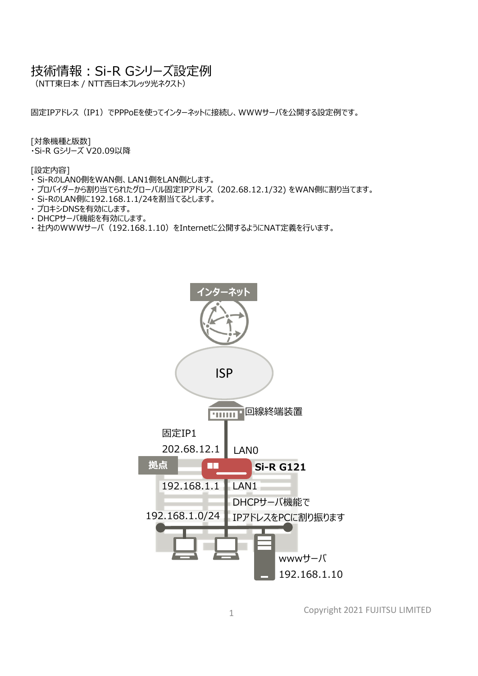## 技術情報: Si-R Gシリーズ設定例

(NTT東⽇本 / NTT⻄⽇本フレッツ光ネクスト)

固定IPアドレス(IP1)でPPPoEを使ってインターネットに接続し、WWWサーバを公開する設定例です。

[対象機種と版数]

・Si-R Gシリーズ V20.09以降

[設定内容]

- ・ Si-RのLAN0側をWAN側、LAN1側をLAN側とします。
- ・ プロバイダーから割り当てられたグローバル固定IPアドレス(202.68.12.1/32) をWAN側に割り当てます。
- ・ Si-RのLAN側に192.168.1.1/24を割当てるとします。
- ・ プロキシDNSを有効にします。
- ・ DHCPサーバ機能を有効にします。
- · 社内のWWWサーバ (192.168.1.10) をInternetに公開するようにNAT定義を行います。



Copyright 2021 FUJITSU LIMITED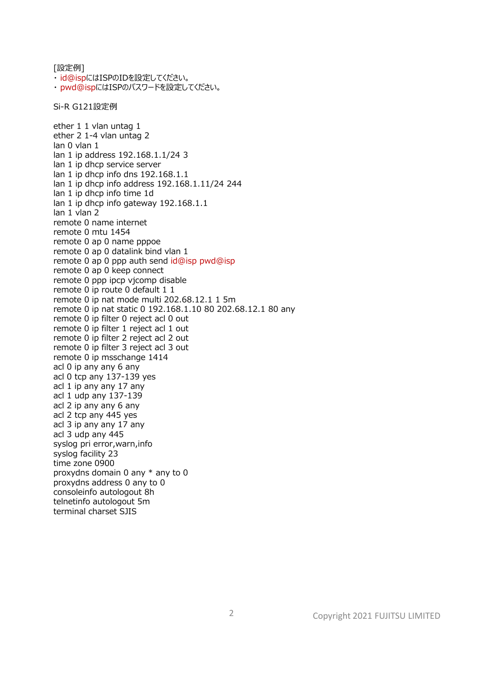[設定例] ・ id@ispにはISPのIDを設定してください。 ・ pwd@ispにはISPのパスワードを設定してください。 Si-R G121設定例 ether 1 1 vlan untag 1 ether 2 1-4 vlan untag 2 lan 0 vlan 1 lan 1 ip address 192.168.1.1/24 3 lan 1 ip dhcp service server lan 1 ip dhcp info dns 192.168.1.1 lan 1 ip dhcp info address 192.168.1.11/24 244 lan 1 ip dhcp info time 1d lan 1 ip dhcp info gateway 192.168.1.1 lan 1 vlan 2 remote 0 name internet remote 0 mtu 1454 remote 0 ap 0 name pppoe remote 0 ap 0 datalink bind vlan 1 remote 0 ap 0 ppp auth send id@isp pwd@isp remote 0 ap 0 keep connect remote 0 ppp ipcp vjcomp disable remote 0 ip route 0 default 1 1 remote 0 ip nat mode multi 202.68.12.1 1 5m remote 0 ip nat static 0 192.168.1.10 80 202.68.12.1 80 any remote 0 ip filter 0 reject acl 0 out remote 0 ip filter 1 reject acl 1 out remote 0 ip filter 2 reject acl 2 out remote 0 ip filter 3 reject acl 3 out remote 0 ip msschange 1414 acl 0 ip any any 6 any acl 0 tcp any 137-139 yes acl 1 ip any any 17 any acl 1 udp any 137-139 acl 2 ip any any 6 any acl 2 tcp any 445 yes acl 3 ip any any 17 any acl 3 udp any 445 syslog pri error,warn,info syslog facility 23 time zone 0900 proxydns domain 0 any \* any to 0 proxydns address 0 any to 0 consoleinfo autologout 8h telnetinfo autologout 5m terminal charset SJIS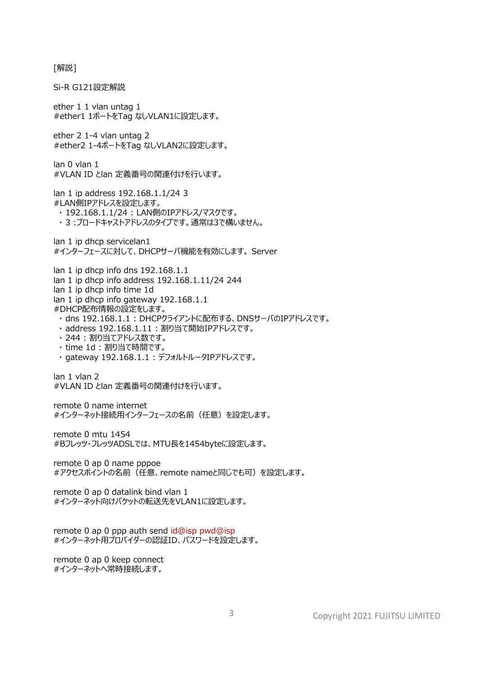[解説]

Si-R G121設定解説 ether 1 1 vlan untag 1 #ether1 1ポートをTag なしVLAN1に設定します。 ether 2 1-4 vlan untag 2 #ether2 1-4ポートをTag なしVLAN2に設定します。 lan 0 vlan 1 #VLAN ID とlan 定義番号の関連付けを行います。 lan 1 ip address 192.168.1.1/24 3 #LAN側IPアドレスを設定します。 ・ 192.168.1.1/24 : LAN側のIPアドレス/マスクです。 ・ 3 :ブロードキャストアドレスのタイプです。通常は3で構いません。 lan 1 ip dhcp servicelan1 #インターフェースに対して、DHCPサーバ機能を有効にします。 Server lan 1 ip dhcp info dns 192.168.1.1 lan 1 ip dhcp info address 192.168.1.11/24 244 lan 1 ip dhcp info time 1d lan 1 ip dhcp info gateway 192.168.1.1 #DHCP配布情報の設定をします。 ・ dns 192.168.1.1 : DHCPクライアントに配布する、DNSサーバのIPアドレスです。 ・ address 192.168.1.11 : 割り当て開始IPアドレスです。 ・ 244 : 割り当てアドレス数です。 ・ time 1d : 割り当て時間です。 ・ gateway 192.168.1.1 : デフォルトルータIPアドレスです。 lan 1 vlan 2 #VLAN ID とlan 定義番号の関連付けを行います。 remote 0 name internet #インターネット接続用インターフェースの名前 (任意) を設定します。 remote 0 mtu 1454 #Bフレッツ・フレッツADSLでは、MTU長を1454bvteに設定します。 remote 0 ap 0 name pppoe #アクセスポイントの名前(任意、remote nameと同じでも可)を設定します。 remote 0 ap 0 datalink bind vlan 1 #インターネット向けパケットの転送先をVLAN1に設定します。 remote 0 ap 0 ppp auth send id@isp pwd@isp #インターネット用プロバイダーの認証ID、パスワードを設定します。 remote 0 ap 0 keep connect #インターネットへ常時接続します。